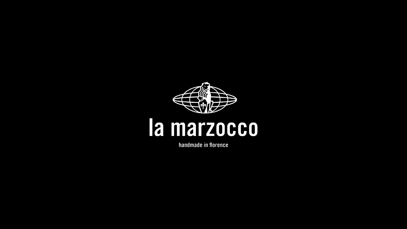

# la marzocco

handmade in florence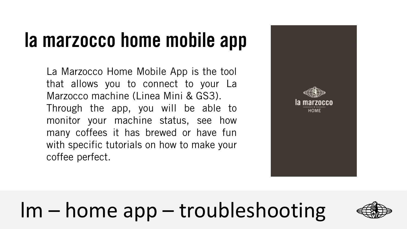#### **la marzocco home mobile app**

La Marzocco Home Mobile App is the tool that allows you to connect to your La Marzocco machine (Linea Mini & GS3). Through the app, you will be able to monitor your machine status, see how many coffees it has brewed or have fun with specific tutorials on how to make your coffee perfect.



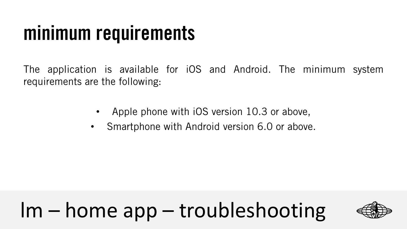#### **minimum requirements**

The application is available for iOS and Android. The minimum system requirements are the following:

- Apple phone with iOS version 10.3 or above,
- Smartphone with Android version 6.0 or above.

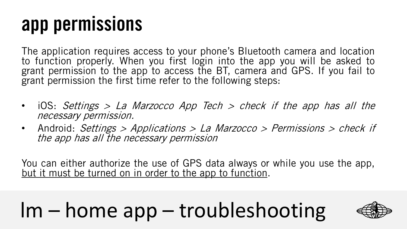#### **app permissions**

The application requires access to your phone's Bluetooth camera and location to function properly. When you first login into the app you will be asked to grant permission to the app to access the BT, camera and GPS. If you fail to grant permission the first time refer to the following steps:

- iOS: Settings <sup>&</sup>gt; La Marzocco App Tech <sup>&</sup>gt; check if the app has all the necessary permission.
- Android: Settings > Applications > La Marzocco > Permissions > check if the app has all the necessary permission

You can either authorize the use of GPS data always or while you use the app, but it must be turned on in order to the app to function.

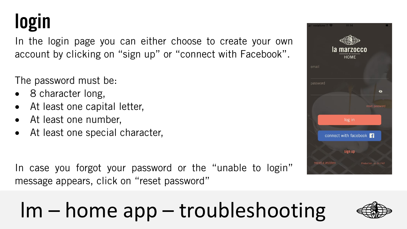#### **login**

In the login page you can either choose to create your own account by clicking on "sign up" or "connect with Facebook".

#### The password must be:

- 8 character long,
- At least one capital letter,
- At least one number,
- At least one special character,

In case you forgot your password or the "unable to login" message appears, click on "reset password"



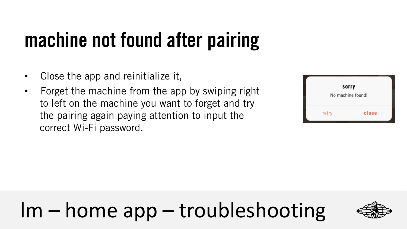# **machine not found after pairing**

- Close the app and reinitialize it,
- Forget the machine from the app by swiping right to left on the machine you want to forget and try the pairing again paying attention to input the correct Wi-Fi password.

| sorry<br>No machine found! |       |  |
|----------------------------|-------|--|
| retry                      | close |  |

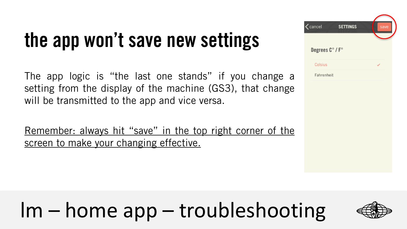#### **the app won't save new settings**

The app logic is "the last one stands" if you change a setting from the display of the machine (GS3), that change will be transmitted to the app and vice versa.

Remember: always hit "save" in the top right corner of the screen to make your changing effective.

|          | $\zeta$ cancel<br><b>SETTINGS</b> | save |
|----------|-----------------------------------|------|
|          |                                   |      |
|          | Degrees C° / F°                   |      |
|          | Celsius                           |      |
| Э        | Fahrenheit                        |      |
| e        |                                   |      |
|          |                                   |      |
|          |                                   |      |
|          |                                   |      |
| <u>ੁ</u> |                                   |      |
|          |                                   |      |
|          |                                   |      |

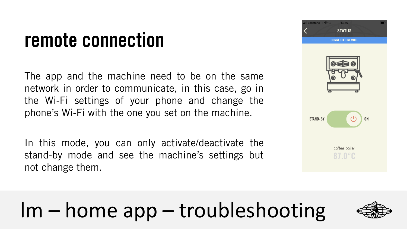#### **remote connection**

The app and the machine need to be on the same network in order to communicate, in this case, go in the Wi-Fi settings of your phone and change the phone's Wi-Fi with the one you set on the machine.

In this mode, you can only activate/deactivate the stand-by mode and see the machine's settings but not change them.



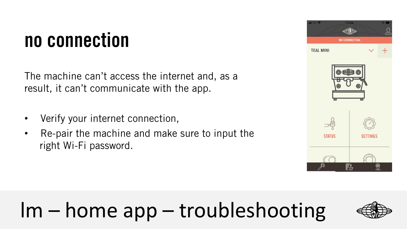#### **no connection**

The machine can't access the internet and, as a result, it can't communicate with the app.

- Verify your internet connection,
- Re-pair the machine and make sure to input the right Wi-Fi password.



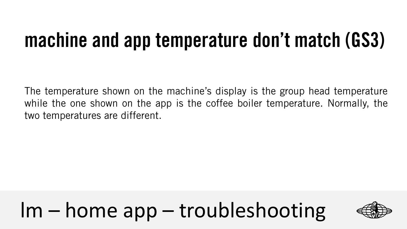#### **machine and app temperature don't match (GS3)**

The temperature shown on the machine's display is the group head temperature while the one shown on the app is the coffee boiler temperature. Normally, the two temperatures are different.

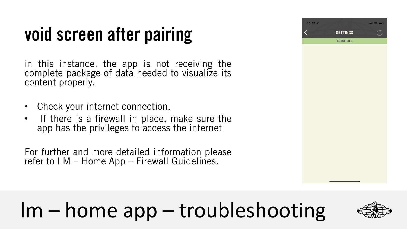#### **void screen after pairing**

in this instance, the app is not receiving the complete package of data needed to visualize its content properly.

- Check your internet connection,
- If there is a firewall in place, make sure the app has the privileges to access the internet

For further and more detailed information please refer to LM – Home App – Firewall Guidelines.